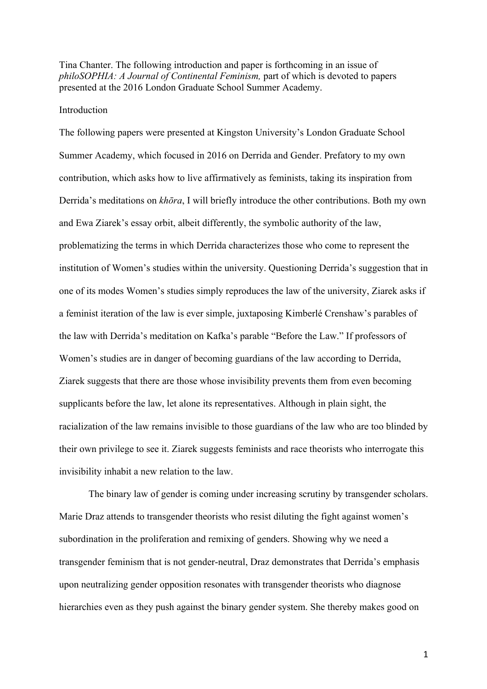Tina Chanter. The following introduction and paper is forthcoming in an issue of *philoSOPHIA: A Journal of Continental Feminism,* part of which is devoted to papers presented at the 2016 London Graduate School Summer Academy.

## Introduction

The following papers were presented at Kingston University's London Graduate School Summer Academy, which focused in 2016 on Derrida and Gender. Prefatory to my own contribution, which asks how to live affirmatively as feminists, taking its inspiration from Derrida's meditations on *khōra*, I will briefly introduce the other contributions. Both my own and Ewa Ziarek's essay orbit, albeit differently, the symbolic authority of the law, problematizing the terms in which Derrida characterizes those who come to represent the institution of Women's studies within the university. Questioning Derrida's suggestion that in one of its modes Women's studies simply reproduces the law of the university, Ziarek asks if a feminist iteration of the law is ever simple, juxtaposing Kimberlé Crenshaw's parables of the law with Derrida's meditation on Kafka's parable "Before the Law." If professors of Women's studies are in danger of becoming guardians of the law according to Derrida, Ziarek suggests that there are those whose invisibility prevents them from even becoming supplicants before the law, let alone its representatives. Although in plain sight, the racialization of the law remains invisible to those guardians of the law who are too blinded by their own privilege to see it. Ziarek suggests feminists and race theorists who interrogate this invisibility inhabit a new relation to the law.

The binary law of gender is coming under increasing scrutiny by transgender scholars. Marie Draz attends to transgender theorists who resist diluting the fight against women's subordination in the proliferation and remixing of genders. Showing why we need a transgender feminism that is not gender-neutral, Draz demonstrates that Derrida's emphasis upon neutralizing gender opposition resonates with transgender theorists who diagnose hierarchies even as they push against the binary gender system. She thereby makes good on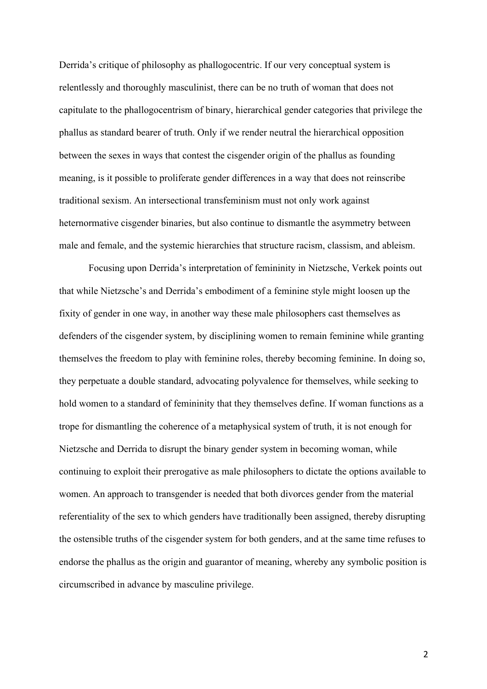Derrida's critique of philosophy as phallogocentric. If our very conceptual system is relentlessly and thoroughly masculinist, there can be no truth of woman that does not capitulate to the phallogocentrism of binary, hierarchical gender categories that privilege the phallus as standard bearer of truth. Only if we render neutral the hierarchical opposition between the sexes in ways that contest the cisgender origin of the phallus as founding meaning, is it possible to proliferate gender differences in a way that does not reinscribe traditional sexism. An intersectional transfeminism must not only work against heternormative cisgender binaries, but also continue to dismantle the asymmetry between male and female, and the systemic hierarchies that structure racism, classism, and ableism.

Focusing upon Derrida's interpretation of femininity in Nietzsche, Verkek points out that while Nietzsche's and Derrida's embodiment of a feminine style might loosen up the fixity of gender in one way, in another way these male philosophers cast themselves as defenders of the cisgender system, by disciplining women to remain feminine while granting themselves the freedom to play with feminine roles, thereby becoming feminine. In doing so, they perpetuate a double standard, advocating polyvalence for themselves, while seeking to hold women to a standard of femininity that they themselves define. If woman functions as a trope for dismantling the coherence of a metaphysical system of truth, it is not enough for Nietzsche and Derrida to disrupt the binary gender system in becoming woman, while continuing to exploit their prerogative as male philosophers to dictate the options available to women. An approach to transgender is needed that both divorces gender from the material referentiality of the sex to which genders have traditionally been assigned, thereby disrupting the ostensible truths of the cisgender system for both genders, and at the same time refuses to endorse the phallus as the origin and guarantor of meaning, whereby any symbolic position is circumscribed in advance by masculine privilege.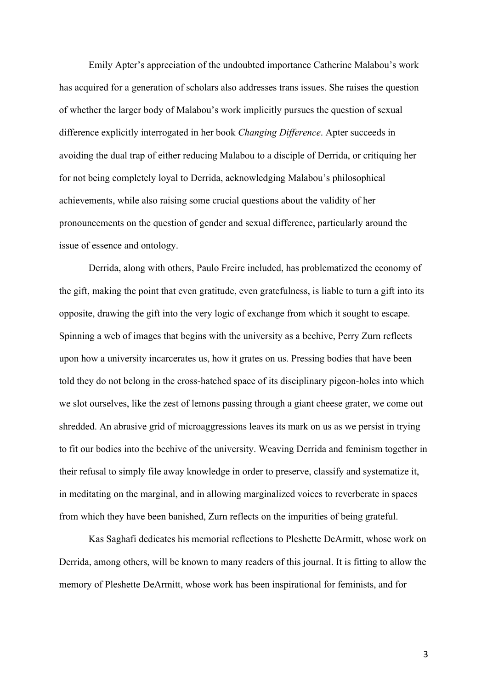Emily Apter's appreciation of the undoubted importance Catherine Malabou's work has acquired for a generation of scholars also addresses trans issues. She raises the question of whether the larger body of Malabou's work implicitly pursues the question of sexual difference explicitly interrogated in her book *Changing Difference*. Apter succeeds in avoiding the dual trap of either reducing Malabou to a disciple of Derrida, or critiquing her for not being completely loyal to Derrida, acknowledging Malabou's philosophical achievements, while also raising some crucial questions about the validity of her pronouncements on the question of gender and sexual difference, particularly around the issue of essence and ontology.

Derrida, along with others, Paulo Freire included, has problematized the economy of the gift, making the point that even gratitude, even gratefulness, is liable to turn a gift into its opposite, drawing the gift into the very logic of exchange from which it sought to escape. Spinning a web of images that begins with the university as a beehive, Perry Zurn reflects upon how a university incarcerates us, how it grates on us. Pressing bodies that have been told they do not belong in the cross-hatched space of its disciplinary pigeon-holes into which we slot ourselves, like the zest of lemons passing through a giant cheese grater, we come out shredded. An abrasive grid of microaggressions leaves its mark on us as we persist in trying to fit our bodies into the beehive of the university. Weaving Derrida and feminism together in their refusal to simply file away knowledge in order to preserve, classify and systematize it, in meditating on the marginal, and in allowing marginalized voices to reverberate in spaces from which they have been banished, Zurn reflects on the impurities of being grateful.

Kas Saghafi dedicates his memorial reflections to Pleshette DeArmitt, whose work on Derrida, among others, will be known to many readers of this journal. It is fitting to allow the memory of Pleshette DeArmitt, whose work has been inspirational for feminists, and for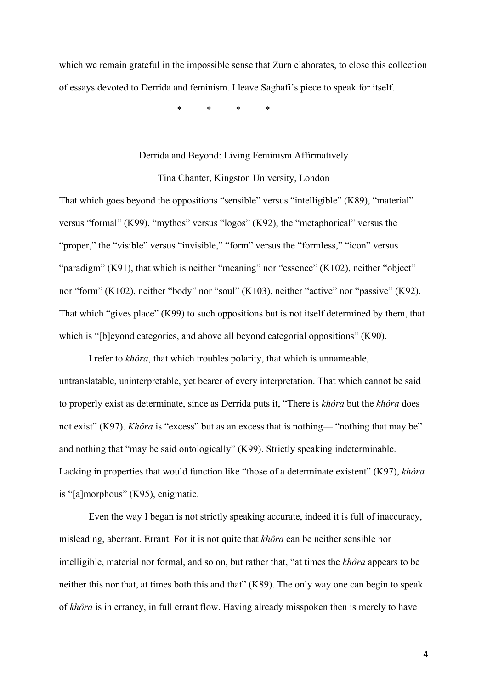which we remain grateful in the impossible sense that Zurn elaborates, to close this collection of essays devoted to Derrida and feminism. I leave Saghafi's piece to speak for itself.

\* \* \* \*

## Derrida and Beyond: Living Feminism Affirmatively

## Tina Chanter, Kingston University, London

That which goes beyond the oppositions "sensible" versus "intelligible" (K89), "material" versus "formal" (K99), "mythos" versus "logos" (K92), the "metaphorical" versus the "proper," the "visible" versus "invisible," "form" versus the "formless," "icon" versus "paradigm" (K91), that which is neither "meaning" nor "essence" (K102), neither "object" nor "form" (K102), neither "body" nor "soul" (K103), neither "active" nor "passive" (K92). That which "gives place" (K99) to such oppositions but is not itself determined by them, that which is "[b]eyond categories, and above all beyond categorial oppositions" (K90).

I refer to *khôra*, that which troubles polarity, that which is unnameable, untranslatable, uninterpretable, yet bearer of every interpretation. That which cannot be said to properly exist as determinate, since as Derrida puts it, "There is *khôra* but the *khôra* does not exist" (K97). *Khôra* is "excess" but as an excess that is nothing— "nothing that may be" and nothing that "may be said ontologically" (K99). Strictly speaking indeterminable. Lacking in properties that would function like "those of a determinate existent" (K97), *khôra* is "[a]morphous" (K95), enigmatic.

Even the way I began is not strictly speaking accurate, indeed it is full of inaccuracy, misleading, aberrant. Errant. For it is not quite that *khôra* can be neither sensible nor intelligible, material nor formal, and so on, but rather that, "at times the *khôra* appears to be neither this nor that, at times both this and that" (K89). The only way one can begin to speak of *khôra* is in errancy, in full errant flow. Having already misspoken then is merely to have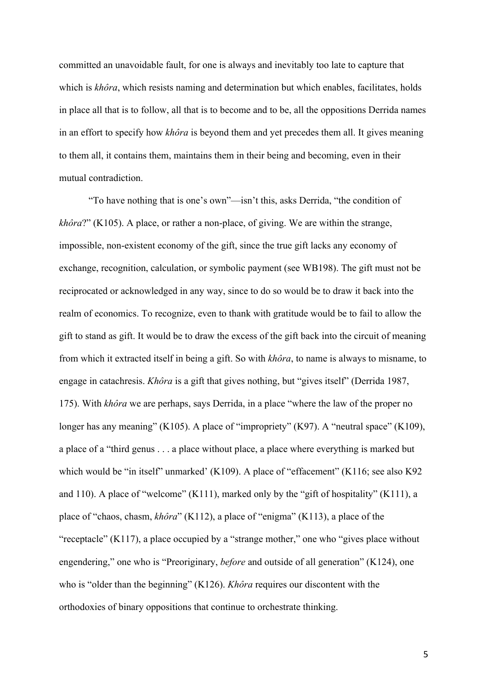committed an unavoidable fault, for one is always and inevitably too late to capture that which is *khôra*, which resists naming and determination but which enables, facilitates, holds in place all that is to follow, all that is to become and to be, all the oppositions Derrida names in an effort to specify how *khôra* is beyond them and yet precedes them all. It gives meaning to them all, it contains them, maintains them in their being and becoming, even in their mutual contradiction.

"To have nothing that is one's own"—isn't this, asks Derrida, "the condition of *khôra*?" (K105). A place, or rather a non-place, of giving. We are within the strange, impossible, non-existent economy of the gift, since the true gift lacks any economy of exchange, recognition, calculation, or symbolic payment (see WB198). The gift must not be reciprocated or acknowledged in any way, since to do so would be to draw it back into the realm of economics. To recognize, even to thank with gratitude would be to fail to allow the gift to stand as gift. It would be to draw the excess of the gift back into the circuit of meaning from which it extracted itself in being a gift. So with *khôra*, to name is always to misname, to engage in catachresis. *Khôra* is a gift that gives nothing, but "gives itself" (Derrida 1987, 175). With *khôra* we are perhaps, says Derrida, in a place "where the law of the proper no longer has any meaning" (K105). A place of "impropriety" (K97). A "neutral space" (K109), a place of a "third genus . . . a place without place, a place where everything is marked but which would be "in itself" unmarked' (K109). A place of "effacement" (K116; see also K92) and 110). A place of "welcome"  $(K111)$ , marked only by the "gift of hospitality"  $(K111)$ , a place of "chaos, chasm, *khôra*" (K112), a place of "enigma" (K113), a place of the "receptacle" (K117), a place occupied by a "strange mother," one who "gives place without engendering," one who is "Preoriginary, *before* and outside of all generation" (K124), one who is "older than the beginning" (K126). *Khôra* requires our discontent with the orthodoxies of binary oppositions that continue to orchestrate thinking.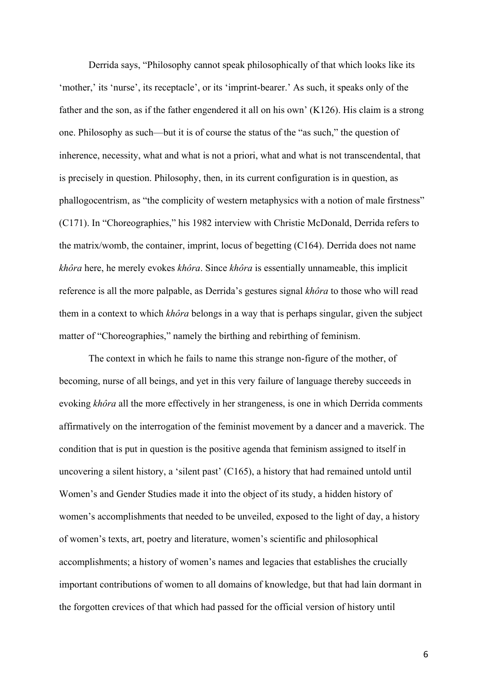Derrida says, "Philosophy cannot speak philosophically of that which looks like its 'mother,' its 'nurse', its receptacle', or its 'imprint-bearer.' As such, it speaks only of the father and the son, as if the father engendered it all on his own' (K126). His claim is a strong one. Philosophy as such—but it is of course the status of the "as such," the question of inherence, necessity, what and what is not a priori, what and what is not transcendental, that is precisely in question. Philosophy, then, in its current configuration is in question, as phallogocentrism, as "the complicity of western metaphysics with a notion of male firstness" (C171). In "Choreographies," his 1982 interview with Christie McDonald, Derrida refers to the matrix/womb, the container, imprint, locus of begetting (C164). Derrida does not name *khôra* here, he merely evokes *khôra*. Since *khôra* is essentially unnameable, this implicit reference is all the more palpable, as Derrida's gestures signal *khôra* to those who will read them in a context to which *khôra* belongs in a way that is perhaps singular, given the subject matter of "Choreographies," namely the birthing and rebirthing of feminism.

The context in which he fails to name this strange non-figure of the mother, of becoming, nurse of all beings, and yet in this very failure of language thereby succeeds in evoking *khôra* all the more effectively in her strangeness, is one in which Derrida comments affirmatively on the interrogation of the feminist movement by a dancer and a maverick. The condition that is put in question is the positive agenda that feminism assigned to itself in uncovering a silent history, a 'silent past' (C165), a history that had remained untold until Women's and Gender Studies made it into the object of its study, a hidden history of women's accomplishments that needed to be unveiled, exposed to the light of day, a history of women's texts, art, poetry and literature, women's scientific and philosophical accomplishments; a history of women's names and legacies that establishes the crucially important contributions of women to all domains of knowledge, but that had lain dormant in the forgotten crevices of that which had passed for the official version of history until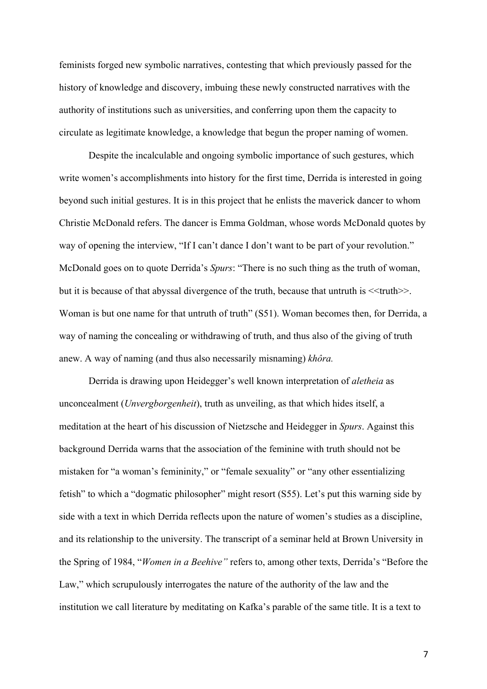feminists forged new symbolic narratives, contesting that which previously passed for the history of knowledge and discovery, imbuing these newly constructed narratives with the authority of institutions such as universities, and conferring upon them the capacity to circulate as legitimate knowledge, a knowledge that begun the proper naming of women.

Despite the incalculable and ongoing symbolic importance of such gestures, which write women's accomplishments into history for the first time, Derrida is interested in going beyond such initial gestures. It is in this project that he enlists the maverick dancer to whom Christie McDonald refers. The dancer is Emma Goldman, whose words McDonald quotes by way of opening the interview, "If I can't dance I don't want to be part of your revolution." McDonald goes on to quote Derrida's *Spurs*: "There is no such thing as the truth of woman, but it is because of that abyssal divergence of the truth, because that untruth is  $\leq$ truth $\geq$ . Woman is but one name for that untruth of truth" (S51). Woman becomes then, for Derrida, a way of naming the concealing or withdrawing of truth, and thus also of the giving of truth anew. A way of naming (and thus also necessarily misnaming) *khôra.*

Derrida is drawing upon Heidegger's well known interpretation of *aletheia* as unconcealment (*Unvergborgenheit*), truth as unveiling, as that which hides itself, a meditation at the heart of his discussion of Nietzsche and Heidegger in *Spurs*. Against this background Derrida warns that the association of the feminine with truth should not be mistaken for "a woman's femininity," or "female sexuality" or "any other essentializing fetish" to which a "dogmatic philosopher" might resort (S55). Let's put this warning side by side with a text in which Derrida reflects upon the nature of women's studies as a discipline, and its relationship to the university. The transcript of a seminar held at Brown University in the Spring of 1984, "*Women in a Beehive"* refers to, among other texts, Derrida's "Before the Law," which scrupulously interrogates the nature of the authority of the law and the institution we call literature by meditating on Kafka's parable of the same title. It is a text to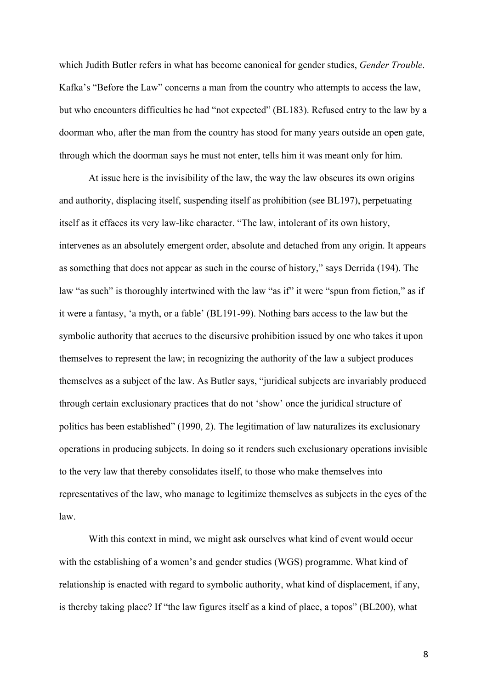which Judith Butler refers in what has become canonical for gender studies, *Gender Trouble*. Kafka's "Before the Law" concerns a man from the country who attempts to access the law, but who encounters difficulties he had "not expected" (BL183). Refused entry to the law by a doorman who, after the man from the country has stood for many years outside an open gate, through which the doorman says he must not enter, tells him it was meant only for him.

At issue here is the invisibility of the law, the way the law obscures its own origins and authority, displacing itself, suspending itself as prohibition (see BL197), perpetuating itself as it effaces its very law-like character. "The law, intolerant of its own history, intervenes as an absolutely emergent order, absolute and detached from any origin. It appears as something that does not appear as such in the course of history," says Derrida (194). The law "as such" is thoroughly intertwined with the law "as if" it were "spun from fiction," as if it were a fantasy, 'a myth, or a fable' (BL191-99). Nothing bars access to the law but the symbolic authority that accrues to the discursive prohibition issued by one who takes it upon themselves to represent the law; in recognizing the authority of the law a subject produces themselves as a subject of the law. As Butler says, "juridical subjects are invariably produced through certain exclusionary practices that do not 'show' once the juridical structure of politics has been established" (1990, 2). The legitimation of law naturalizes its exclusionary operations in producing subjects. In doing so it renders such exclusionary operations invisible to the very law that thereby consolidates itself, to those who make themselves into representatives of the law, who manage to legitimize themselves as subjects in the eyes of the law.

With this context in mind, we might ask ourselves what kind of event would occur with the establishing of a women's and gender studies (WGS) programme. What kind of relationship is enacted with regard to symbolic authority, what kind of displacement, if any, is thereby taking place? If "the law figures itself as a kind of place, a topos" (BL200), what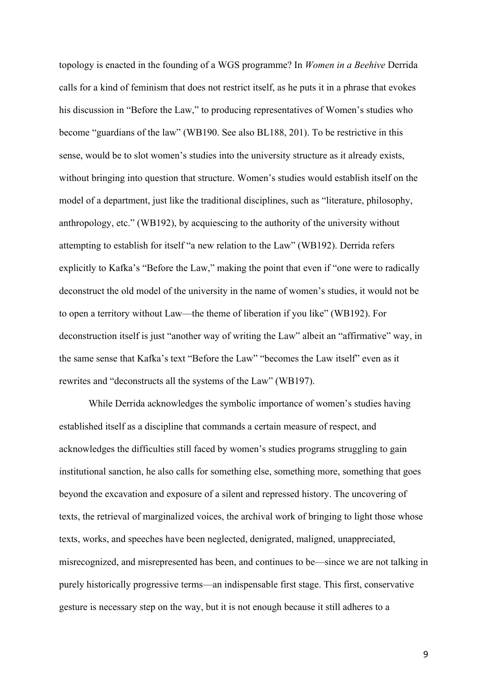topology is enacted in the founding of a WGS programme? In *Women in a Beehive* Derrida calls for a kind of feminism that does not restrict itself, as he puts it in a phrase that evokes his discussion in "Before the Law," to producing representatives of Women's studies who become "guardians of the law" (WB190. See also BL188, 201). To be restrictive in this sense, would be to slot women's studies into the university structure as it already exists, without bringing into question that structure. Women's studies would establish itself on the model of a department, just like the traditional disciplines, such as "literature, philosophy, anthropology, etc." (WB192), by acquiescing to the authority of the university without attempting to establish for itself "a new relation to the Law" (WB192). Derrida refers explicitly to Kafka's "Before the Law," making the point that even if "one were to radically deconstruct the old model of the university in the name of women's studies, it would not be to open a territory without Law—the theme of liberation if you like" (WB192). For deconstruction itself is just "another way of writing the Law" albeit an "affirmative" way, in the same sense that Kafka's text "Before the Law" "becomes the Law itself" even as it rewrites and "deconstructs all the systems of the Law" (WB197).

While Derrida acknowledges the symbolic importance of women's studies having established itself as a discipline that commands a certain measure of respect, and acknowledges the difficulties still faced by women's studies programs struggling to gain institutional sanction, he also calls for something else, something more, something that goes beyond the excavation and exposure of a silent and repressed history. The uncovering of texts, the retrieval of marginalized voices, the archival work of bringing to light those whose texts, works, and speeches have been neglected, denigrated, maligned, unappreciated, misrecognized, and misrepresented has been, and continues to be—since we are not talking in purely historically progressive terms—an indispensable first stage. This first, conservative gesture is necessary step on the way, but it is not enough because it still adheres to a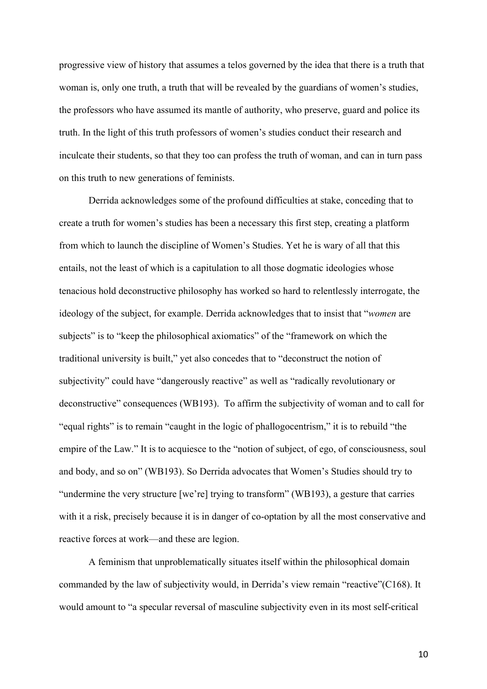progressive view of history that assumes a telos governed by the idea that there is a truth that woman is, only one truth, a truth that will be revealed by the guardians of women's studies, the professors who have assumed its mantle of authority, who preserve, guard and police its truth. In the light of this truth professors of women's studies conduct their research and inculcate their students, so that they too can profess the truth of woman, and can in turn pass on this truth to new generations of feminists.

Derrida acknowledges some of the profound difficulties at stake, conceding that to create a truth for women's studies has been a necessary this first step, creating a platform from which to launch the discipline of Women's Studies. Yet he is wary of all that this entails, not the least of which is a capitulation to all those dogmatic ideologies whose tenacious hold deconstructive philosophy has worked so hard to relentlessly interrogate, the ideology of the subject, for example. Derrida acknowledges that to insist that "*women* are subjects" is to "keep the philosophical axiomatics" of the "framework on which the traditional university is built," yet also concedes that to "deconstruct the notion of subjectivity" could have "dangerously reactive" as well as "radically revolutionary or deconstructive" consequences (WB193). To affirm the subjectivity of woman and to call for "equal rights" is to remain "caught in the logic of phallogocentrism," it is to rebuild "the empire of the Law." It is to acquiesce to the "notion of subject, of ego, of consciousness, soul and body, and so on" (WB193). So Derrida advocates that Women's Studies should try to "undermine the very structure [we're] trying to transform" (WB193), a gesture that carries with it a risk, precisely because it is in danger of co-optation by all the most conservative and reactive forces at work—and these are legion.

A feminism that unproblematically situates itself within the philosophical domain commanded by the law of subjectivity would, in Derrida's view remain "reactive"(C168). It would amount to "a specular reversal of masculine subjectivity even in its most self-critical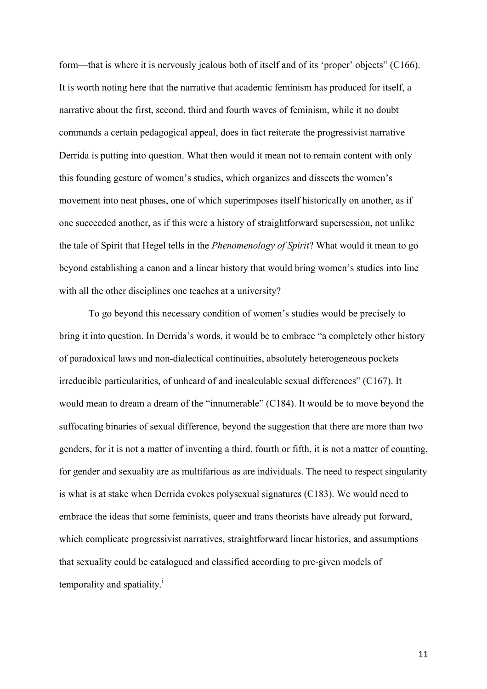form—that is where it is nervously jealous both of itself and of its 'proper' objects" (C166). It is worth noting here that the narrative that academic feminism has produced for itself, a narrative about the first, second, third and fourth waves of feminism, while it no doubt commands a certain pedagogical appeal, does in fact reiterate the progressivist narrative Derrida is putting into question. What then would it mean not to remain content with only this founding gesture of women's studies, which organizes and dissects the women's movement into neat phases, one of which superimposes itself historically on another, as if one succeeded another, as if this were a history of straightforward supersession, not unlike the tale of Spirit that Hegel tells in the *Phenomenology of Spirit*? What would it mean to go beyond establishing a canon and a linear history that would bring women's studies into line with all the other disciplines one teaches at a university?

To go beyond this necessary condition of women's studies would be precisely to bring it into question. In Derrida's words, it would be to embrace "a completely other history of paradoxical laws and non-dialectical continuities, absolutely heterogeneous pockets irreducible particularities, of unheard of and incalculable sexual differences" (C167). It would mean to dream a dream of the "innumerable" (C184). It would be to move beyond the suffocating binaries of sexual difference, beyond the suggestion that there are more than two genders, for it is not a matter of inventing a third, fourth or fifth, it is not a matter of counting, for gender and sexuality are as multifarious as are individuals. The need to respect singularity is what is at stake when Derrida evokes polysexual signatures (C183). We would need to embrace the ideas that some feminists, queer and trans theorists have already put forward, which complicate progressivist narratives, straightforward linear histories, and assumptions that sexuality could be catalogued and classified according to pre-given models of temporality and spatiality.<sup>i</sup>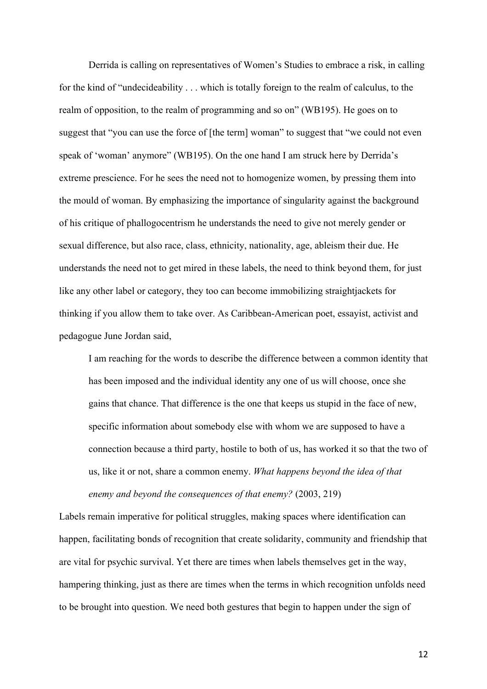Derrida is calling on representatives of Women's Studies to embrace a risk, in calling for the kind of "undecideability . . . which is totally foreign to the realm of calculus, to the realm of opposition, to the realm of programming and so on" (WB195). He goes on to suggest that "you can use the force of [the term] woman" to suggest that "we could not even speak of 'woman' anymore" (WB195). On the one hand I am struck here by Derrida's extreme prescience. For he sees the need not to homogenize women, by pressing them into the mould of woman. By emphasizing the importance of singularity against the background of his critique of phallogocentrism he understands the need to give not merely gender or sexual difference, but also race, class, ethnicity, nationality, age, ableism their due. He understands the need not to get mired in these labels, the need to think beyond them, for just like any other label or category, they too can become immobilizing straightjackets for thinking if you allow them to take over. As Caribbean-American poet, essayist, activist and pedagogue June Jordan said,

I am reaching for the words to describe the difference between a common identity that has been imposed and the individual identity any one of us will choose, once she gains that chance. That difference is the one that keeps us stupid in the face of new, specific information about somebody else with whom we are supposed to have a connection because a third party, hostile to both of us, has worked it so that the two of us, like it or not, share a common enemy. *What happens beyond the idea of that enemy and beyond the consequences of that enemy?* (2003, 219)

Labels remain imperative for political struggles, making spaces where identification can happen, facilitating bonds of recognition that create solidarity, community and friendship that are vital for psychic survival. Yet there are times when labels themselves get in the way, hampering thinking, just as there are times when the terms in which recognition unfolds need to be brought into question. We need both gestures that begin to happen under the sign of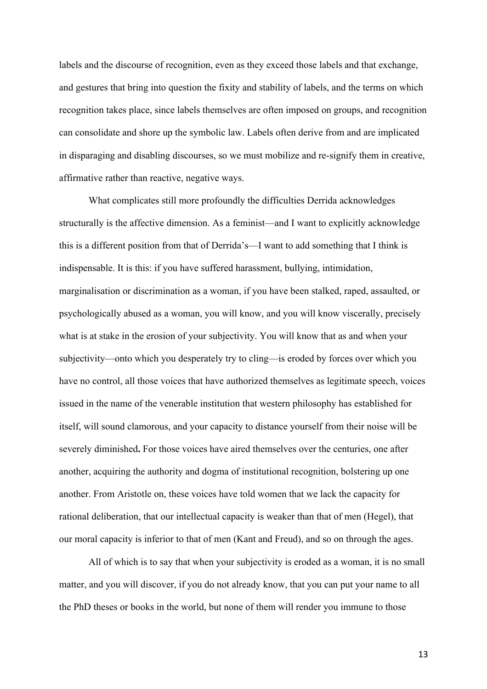labels and the discourse of recognition, even as they exceed those labels and that exchange, and gestures that bring into question the fixity and stability of labels, and the terms on which recognition takes place, since labels themselves are often imposed on groups, and recognition can consolidate and shore up the symbolic law. Labels often derive from and are implicated in disparaging and disabling discourses, so we must mobilize and re-signify them in creative, affirmative rather than reactive, negative ways.

What complicates still more profoundly the difficulties Derrida acknowledges structurally is the affective dimension. As a feminist—and I want to explicitly acknowledge this is a different position from that of Derrida's—I want to add something that I think is indispensable. It is this: if you have suffered harassment, bullying, intimidation, marginalisation or discrimination as a woman, if you have been stalked, raped, assaulted, or psychologically abused as a woman, you will know, and you will know viscerally, precisely what is at stake in the erosion of your subjectivity. You will know that as and when your subjectivity—onto which you desperately try to cling—is eroded by forces over which you have no control, all those voices that have authorized themselves as legitimate speech, voices issued in the name of the venerable institution that western philosophy has established for itself, will sound clamorous, and your capacity to distance yourself from their noise will be severely diminished**.** For those voices have aired themselves over the centuries, one after another, acquiring the authority and dogma of institutional recognition, bolstering up one another. From Aristotle on, these voices have told women that we lack the capacity for rational deliberation, that our intellectual capacity is weaker than that of men (Hegel), that our moral capacity is inferior to that of men (Kant and Freud), and so on through the ages.

All of which is to say that when your subjectivity is eroded as a woman, it is no small matter, and you will discover, if you do not already know, that you can put your name to all the PhD theses or books in the world, but none of them will render you immune to those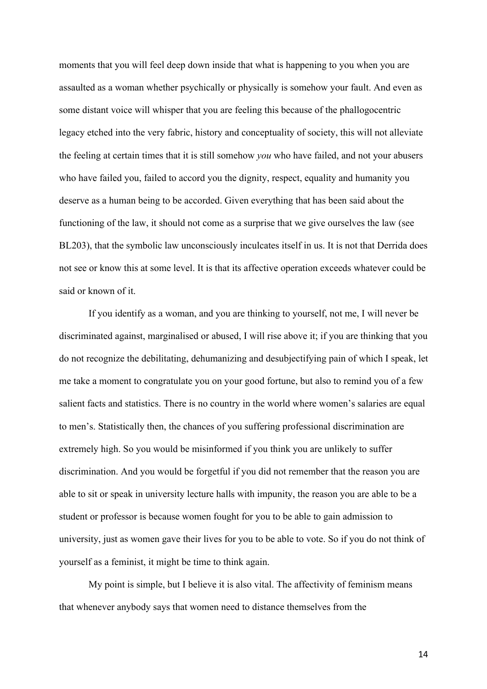moments that you will feel deep down inside that what is happening to you when you are assaulted as a woman whether psychically or physically is somehow your fault. And even as some distant voice will whisper that you are feeling this because of the phallogocentric legacy etched into the very fabric, history and conceptuality of society, this will not alleviate the feeling at certain times that it is still somehow *you* who have failed, and not your abusers who have failed you, failed to accord you the dignity, respect, equality and humanity you deserve as a human being to be accorded. Given everything that has been said about the functioning of the law, it should not come as a surprise that we give ourselves the law (see BL203), that the symbolic law unconsciously inculcates itself in us. It is not that Derrida does not see or know this at some level. It is that its affective operation exceeds whatever could be said or known of it.

If you identify as a woman, and you are thinking to yourself, not me, I will never be discriminated against, marginalised or abused, I will rise above it; if you are thinking that you do not recognize the debilitating, dehumanizing and desubjectifying pain of which I speak, let me take a moment to congratulate you on your good fortune, but also to remind you of a few salient facts and statistics. There is no country in the world where women's salaries are equal to men's. Statistically then, the chances of you suffering professional discrimination are extremely high. So you would be misinformed if you think you are unlikely to suffer discrimination. And you would be forgetful if you did not remember that the reason you are able to sit or speak in university lecture halls with impunity, the reason you are able to be a student or professor is because women fought for you to be able to gain admission to university, just as women gave their lives for you to be able to vote. So if you do not think of yourself as a feminist, it might be time to think again.

My point is simple, but I believe it is also vital. The affectivity of feminism means that whenever anybody says that women need to distance themselves from the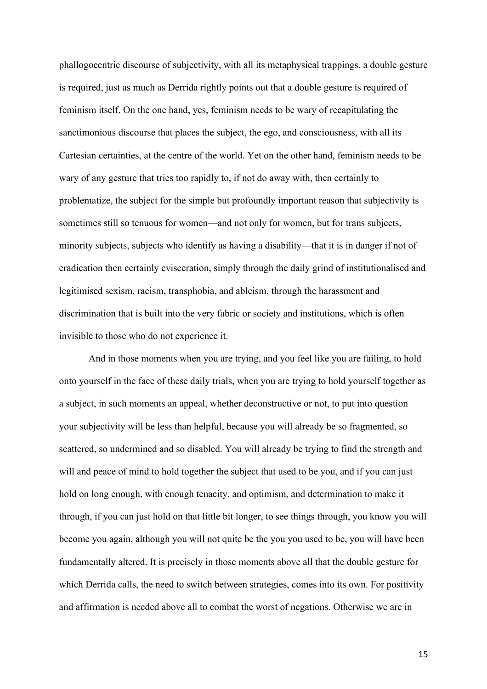phallogocentric discourse of subjectivity, with all its metaphysical trappings, a double gesture is required, just as much as Derrida rightly points out that a double gesture is required of feminism itself. On the one hand, yes, feminism needs to be wary of recapitulating the sanctimonious discourse that places the subject, the ego, and consciousness, with all its Cartesian certainties, at the centre of the world. Yet on the other hand, feminism needs to be wary of any gesture that tries too rapidly to, if not do away with, then certainly to problematize, the subject for the simple but profoundly important reason that subjectivity is sometimes still so tenuous for women—and not only for women, but for trans subjects, minority subjects, subjects who identify as having a disability—that it is in danger if not of eradication then certainly evisceration, simply through the daily grind of institutionalised and legitimised sexism, racism, transphobia, and ableism, through the harassment and discrimination that is built into the very fabric or society and institutions, which is often invisible to those who do not experience it.

And in those moments when you are trying, and you feel like you are failing, to hold onto yourself in the face of these daily trials, when you are trying to hold yourself together as a subject, in such moments an appeal, whether deconstructive or not, to put into question your subjectivity will be less than helpful, because you will already be so fragmented, so scattered, so undermined and so disabled. You will already be trying to find the strength and will and peace of mind to hold together the subject that used to be you, and if you can just hold on long enough, with enough tenacity, and optimism, and determination to make it through, if you can just hold on that little bit longer, to see things through, you know you will become you again, although you will not quite be the you you used to be, you will have been fundamentally altered. It is precisely in those moments above all that the double gesture for which Derrida calls, the need to switch between strategies, comes into its own. For positivity and affirmation is needed above all to combat the worst of negations. Otherwise we are in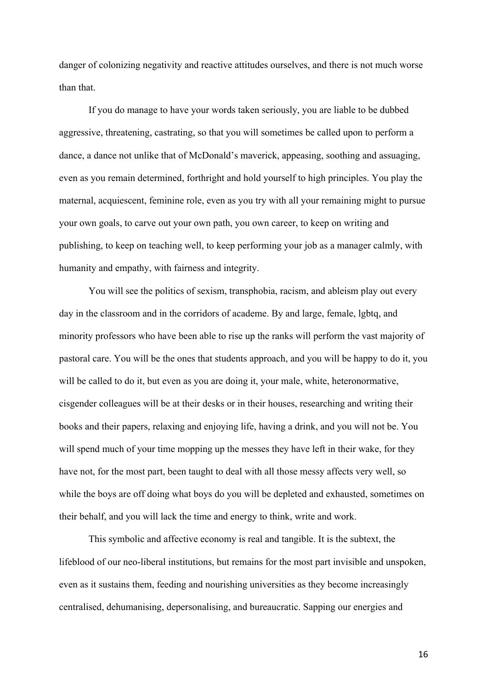danger of colonizing negativity and reactive attitudes ourselves, and there is not much worse than that.

If you do manage to have your words taken seriously, you are liable to be dubbed aggressive, threatening, castrating, so that you will sometimes be called upon to perform a dance, a dance not unlike that of McDonald's maverick, appeasing, soothing and assuaging, even as you remain determined, forthright and hold yourself to high principles. You play the maternal, acquiescent, feminine role, even as you try with all your remaining might to pursue your own goals, to carve out your own path, you own career, to keep on writing and publishing, to keep on teaching well, to keep performing your job as a manager calmly, with humanity and empathy, with fairness and integrity.

You will see the politics of sexism, transphobia, racism, and ableism play out every day in the classroom and in the corridors of academe. By and large, female, lgbtq, and minority professors who have been able to rise up the ranks will perform the vast majority of pastoral care. You will be the ones that students approach, and you will be happy to do it, you will be called to do it, but even as you are doing it, your male, white, heteronormative, cisgender colleagues will be at their desks or in their houses, researching and writing their books and their papers, relaxing and enjoying life, having a drink, and you will not be. You will spend much of your time mopping up the messes they have left in their wake, for they have not, for the most part, been taught to deal with all those messy affects very well, so while the boys are off doing what boys do you will be depleted and exhausted, sometimes on their behalf, and you will lack the time and energy to think, write and work.

This symbolic and affective economy is real and tangible. It is the subtext, the lifeblood of our neo-liberal institutions, but remains for the most part invisible and unspoken, even as it sustains them, feeding and nourishing universities as they become increasingly centralised, dehumanising, depersonalising, and bureaucratic. Sapping our energies and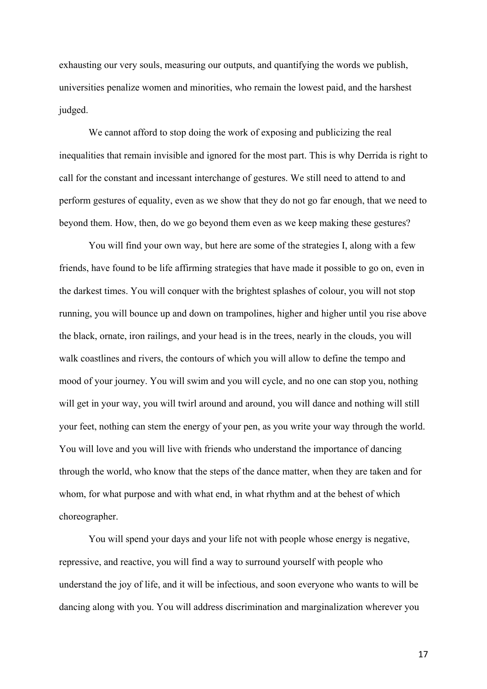exhausting our very souls, measuring our outputs, and quantifying the words we publish, universities penalize women and minorities, who remain the lowest paid, and the harshest judged.

We cannot afford to stop doing the work of exposing and publicizing the real inequalities that remain invisible and ignored for the most part. This is why Derrida is right to call for the constant and incessant interchange of gestures. We still need to attend to and perform gestures of equality, even as we show that they do not go far enough, that we need to beyond them. How, then, do we go beyond them even as we keep making these gestures?

You will find your own way, but here are some of the strategies I, along with a few friends, have found to be life affirming strategies that have made it possible to go on, even in the darkest times. You will conquer with the brightest splashes of colour, you will not stop running, you will bounce up and down on trampolines, higher and higher until you rise above the black, ornate, iron railings, and your head is in the trees, nearly in the clouds, you will walk coastlines and rivers, the contours of which you will allow to define the tempo and mood of your journey. You will swim and you will cycle, and no one can stop you, nothing will get in your way, you will twirl around and around, you will dance and nothing will still your feet, nothing can stem the energy of your pen, as you write your way through the world. You will love and you will live with friends who understand the importance of dancing through the world, who know that the steps of the dance matter, when they are taken and for whom, for what purpose and with what end, in what rhythm and at the behest of which choreographer.

You will spend your days and your life not with people whose energy is negative, repressive, and reactive, you will find a way to surround yourself with people who understand the joy of life, and it will be infectious, and soon everyone who wants to will be dancing along with you. You will address discrimination and marginalization wherever you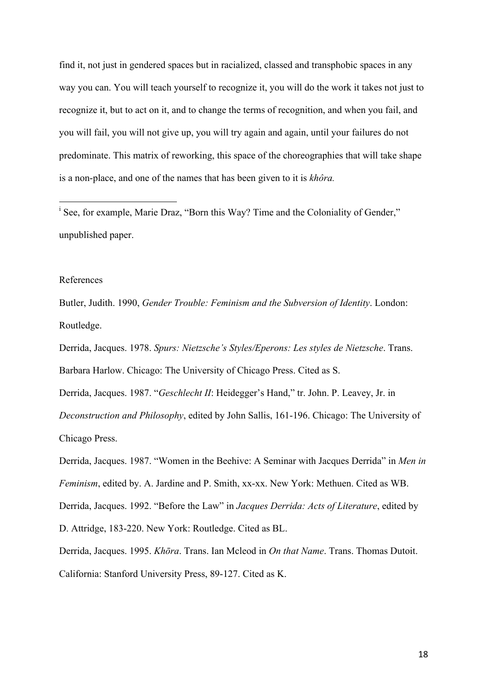find it, not just in gendered spaces but in racialized, classed and transphobic spaces in any way you can. You will teach yourself to recognize it, you will do the work it takes not just to recognize it, but to act on it, and to change the terms of recognition, and when you fail, and you will fail, you will not give up, you will try again and again, until your failures do not predominate. This matrix of reworking, this space of the choreographies that will take shape is a non-place, and one of the names that has been given to it is *khôra.*

<sup>i</sup> See, for example, Marie Draz, "Born this Way? Time and the Coloniality of Gender," unpublished paper.

## References

Butler, Judith. 1990, *Gender Trouble: Feminism and the Subversion of Identity*. London: Routledge.

Derrida, Jacques. 1978. *Spurs: Nietzsche's Styles/Eperons: Les styles de Nietzsche*. Trans.

Barbara Harlow. Chicago: The University of Chicago Press. Cited as S.

Derrida, Jacques. 1987. "*Geschlecht II*: Heidegger's Hand," tr. John. P. Leavey, Jr. in

*Deconstruction and Philosophy*, edited by John Sallis, 161-196. Chicago: The University of Chicago Press.

Derrida, Jacques. 1987. "Women in the Beehive: A Seminar with Jacques Derrida" in *Men in Feminism*, edited by. A. Jardine and P. Smith, xx-xx. New York: Methuen. Cited as WB. Derrida, Jacques. 1992. "Before the Law" in *Jacques Derrida: Acts of Literature*, edited by D. Attridge, 183-220. New York: Routledge. Cited as BL.

Derrida, Jacques. 1995. *Khōra*. Trans. Ian Mcleod in *On that Name*. Trans. Thomas Dutoit. California: Stanford University Press, 89-127. Cited as K.